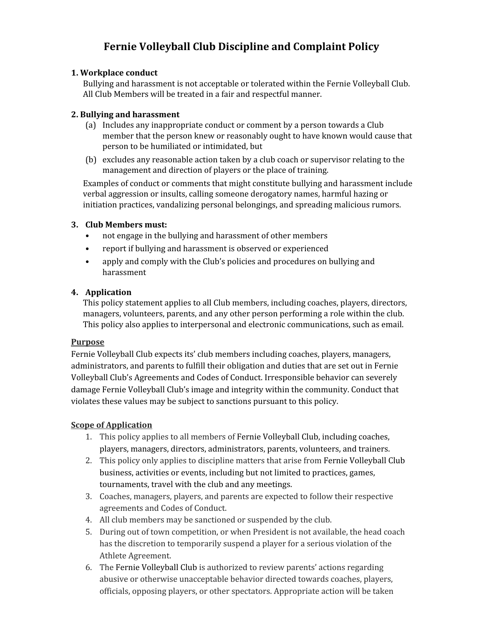# **Fernie Volleyball Club Discipline and Complaint Policy**

#### **1. Workplace conduct**

Bullying and harassment is not acceptable or tolerated within the Fernie Volleyball Club. All Club Members will be treated in a fair and respectful manner.

#### **2. Bullying and harassment**

- (a) Includes any inappropriate conduct or comment by a person towards a Club member that the person knew or reasonably ought to have known would cause that person to be humiliated or intimidated, but
- (b) excludes any reasonable action taken by a club coach or supervisor relating to the management and direction of players or the place of training.

Examples of conduct or comments that might constitute bullying and harassment include verbal aggression or insults, calling someone derogatory names, harmful hazing or initiation practices, vandalizing personal belongings, and spreading malicious rumors.

#### **3. Club Members must:**

- not engage in the bullying and harassment of other members
- report if bullying and harassment is observed or experienced
- apply and comply with the Club's policies and procedures on bullying and harassment

## **4. Application**

This policy statement applies to all Club members, including coaches, players, directors, managers, volunteers, parents, and any other person performing a role within the club. This policy also applies to interpersonal and electronic communications, such as email.

#### **Purpose**

Fernie Volleyball Club expects its' club members including coaches, players, managers, administrators, and parents to fulfill their obligation and duties that are set out in Fernie Volleyball Club's Agreements and Codes of Conduct. Irresponsible behavior can severely damage Fernie Volleyball Club's image and integrity within the community. Conduct that violates these values may be subject to sanctions pursuant to this policy.

#### **Scope of Application**

- 1. This policy applies to all members of Fernie Volleyball Club, including coaches, players, managers, directors, administrators, parents, volunteers, and trainers.
- 2. This policy only applies to discipline matters that arise from Fernie Volleyball Club business, activities or events, including but not limited to practices, games, tournaments, travel with the club and any meetings.
- 3. Coaches, managers, players, and parents are expected to follow their respective agreements and Codes of Conduct.
- 4. All club members may be sanctioned or suspended by the club.
- 5. During out of town competition, or when President is not available, the head coach has the discretion to temporarily suspend a player for a serious violation of the Athlete Agreement.
- 6. The Fernie Volleyball Club is authorized to review parents' actions regarding abusive or otherwise unacceptable behavior directed towards coaches, players, officials, opposing players, or other spectators. Appropriate action will be taken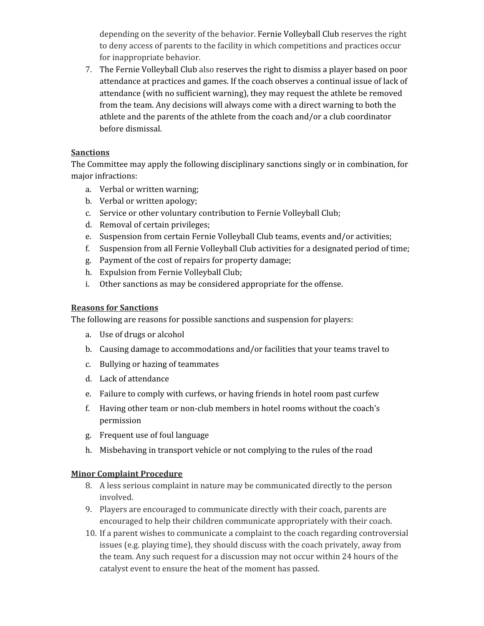depending on the severity of the behavior. Fernie Volleyball Club reserves the right to deny access of parents to the facility in which competitions and practices occur for inappropriate behavior.

7. The Fernie Volleyball Club also reserves the right to dismiss a player based on poor attendance at practices and games. If the coach observes a continual issue of lack of attendance (with no sufficient warning), they may request the athlete be removed from the team. Any decisions will always come with a direct warning to both the athlete and the parents of the athlete from the coach and/or a club coordinator before dismissal.

## **Sanctions**

The Committee may apply the following disciplinary sanctions singly or in combination, for major infractions:

- a. Verbal or written warning;
- b. Verbal or written apology;
- c. Service or other voluntary contribution to Fernie Volleyball Club;
- d. Removal of certain privileges;
- e. Suspension from certain Fernie Volleyball Club teams, events and/or activities;
- f. Suspension from all Fernie Volleyball Club activities for a designated period of time;
- g. Payment of the cost of repairs for property damage;
- h. Expulsion from Fernie Volleyball Club;
- i. Other sanctions as may be considered appropriate for the offense.

#### **Reasons for Sanctions**

The following are reasons for possible sanctions and suspension for players:

- a. Use of drugs or alcohol
- b. Causing damage to accommodations and/or facilities that your teams travel to
- c. Bullying or hazing of teammates
- d. Lack of attendance
- e. Failure to comply with curfews, or having friends in hotel room past curfew
- f. Having other team or non-club members in hotel rooms without the coach's permission
- g. Frequent use of foul language
- h. Misbehaving in transport vehicle or not complying to the rules of the road

#### **Minor Complaint Procedure**

- 8. A less serious complaint in nature may be communicated directly to the person involved.
- 9. Players are encouraged to communicate directly with their coach, parents are encouraged to help their children communicate appropriately with their coach.
- 10. If a parent wishes to communicate a complaint to the coach regarding controversial issues (e.g. playing time), they should discuss with the coach privately, away from the team. Any such request for a discussion may not occur within 24 hours of the catalyst event to ensure the heat of the moment has passed.